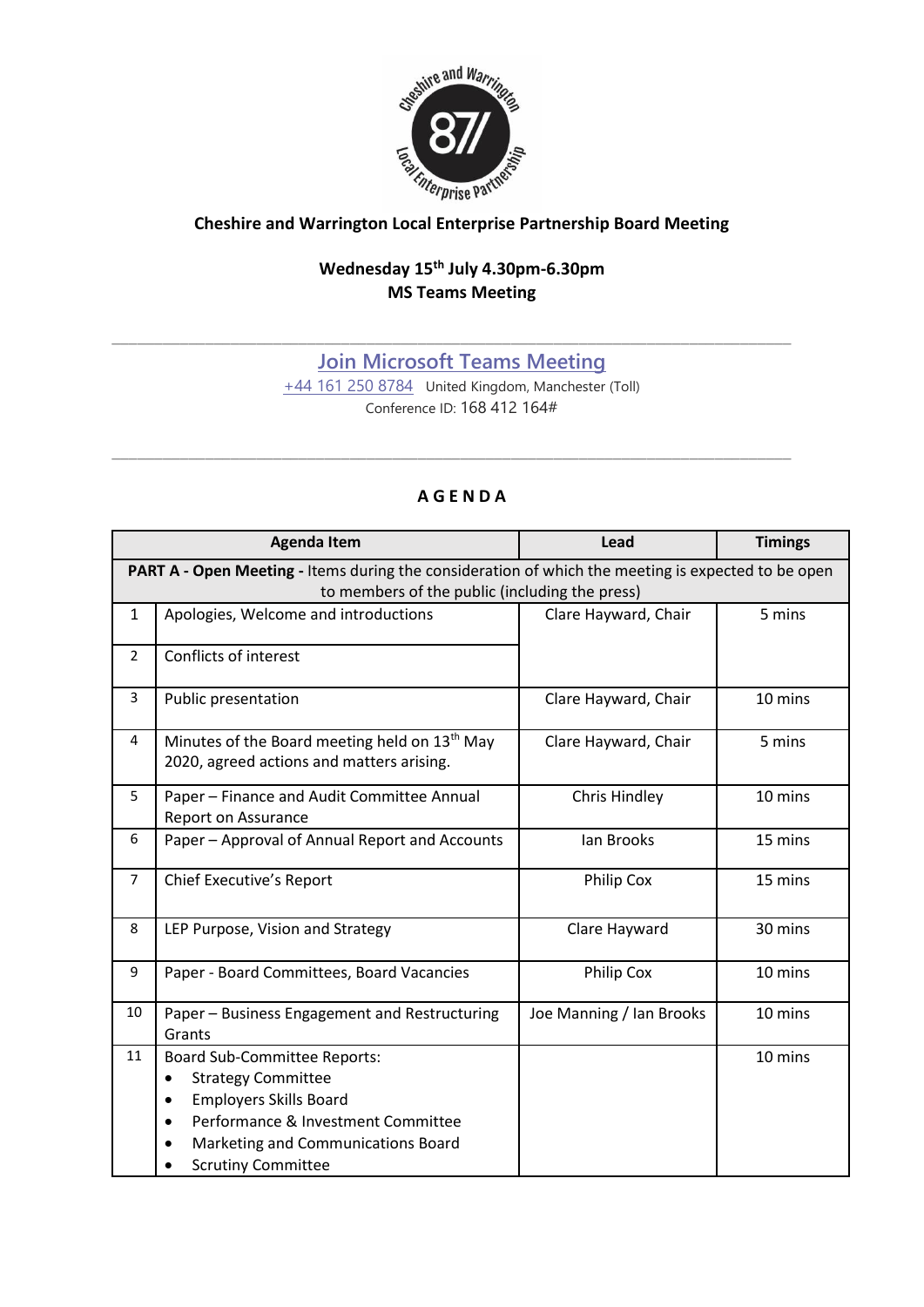

## *Calcinger Bartnes*<br>
Cheshire and Warrington Local Enterprise Partnership Board Meeting

## **Wednesday 15 th July 4.30pm-6.30pm MS Teams Meeting**

## **[Join Microsoft Teams Meeting](https://teams.microsoft.com/l/meetup-join/19%3ameeting_NmMxZTY3M2ItNTk0Yi00NDRkLTg2NDgtZjJmNjNjZjI4NDQx%40thread.v2/0?context=%7b%22Tid%22%3a%229fdc30f0-07e8-4ece-96e4-5daef8d479d1%22%2c%22Oid%22%3a%226c5251ba-0d3a-40c0-b933-9dcb03aa1bd1%22%7d)**

\_\_\_\_\_\_\_\_\_\_\_\_\_\_\_\_\_\_\_\_\_\_\_\_\_\_\_\_\_\_\_\_\_\_\_\_\_\_\_\_\_\_\_\_\_\_\_\_\_\_\_\_\_\_\_\_\_\_\_\_\_\_\_\_\_\_\_\_\_\_\_\_\_\_\_\_\_\_\_\_

[+44 161 250 8784](tel:+44%20161%20250%208784,,168412164# ) United Kingdom, Manchester (Toll) Conference ID: 168 412 164#

## **A G E N D A**

\_\_\_\_\_\_\_\_\_\_\_\_\_\_\_\_\_\_\_\_\_\_\_\_\_\_\_\_\_\_\_\_\_\_\_\_\_\_\_\_\_\_\_\_\_\_\_\_\_\_\_\_\_\_\_\_\_\_\_\_\_\_\_\_\_\_\_\_\_\_\_\_\_\_\_\_\_\_\_\_

|                                                                                                                                                      | <b>Agenda Item</b>                                                                                                                                                                                                                                | Lead                     | <b>Timings</b> |  |
|------------------------------------------------------------------------------------------------------------------------------------------------------|---------------------------------------------------------------------------------------------------------------------------------------------------------------------------------------------------------------------------------------------------|--------------------------|----------------|--|
| PART A - Open Meeting - Items during the consideration of which the meeting is expected to be open<br>to members of the public (including the press) |                                                                                                                                                                                                                                                   |                          |                |  |
| $\mathbf{1}$                                                                                                                                         | Apologies, Welcome and introductions                                                                                                                                                                                                              | Clare Hayward, Chair     | 5 mins         |  |
| $\overline{2}$                                                                                                                                       | Conflicts of interest                                                                                                                                                                                                                             |                          |                |  |
| 3                                                                                                                                                    | Public presentation                                                                                                                                                                                                                               | Clare Hayward, Chair     | 10 mins        |  |
| 4                                                                                                                                                    | Minutes of the Board meeting held on 13 <sup>th</sup> May<br>2020, agreed actions and matters arising.                                                                                                                                            | Clare Hayward, Chair     | 5 mins         |  |
| 5                                                                                                                                                    | Paper - Finance and Audit Committee Annual<br>Report on Assurance                                                                                                                                                                                 | Chris Hindley            | 10 mins        |  |
| 6                                                                                                                                                    | Paper - Approval of Annual Report and Accounts                                                                                                                                                                                                    | lan Brooks               | 15 mins        |  |
| $\overline{7}$                                                                                                                                       | Chief Executive's Report                                                                                                                                                                                                                          | Philip Cox               | 15 mins        |  |
| 8                                                                                                                                                    | LEP Purpose, Vision and Strategy                                                                                                                                                                                                                  | Clare Hayward            | 30 mins        |  |
| 9                                                                                                                                                    | Paper - Board Committees, Board Vacancies                                                                                                                                                                                                         | Philip Cox               | 10 mins        |  |
| 10                                                                                                                                                   | Paper - Business Engagement and Restructuring<br>Grants                                                                                                                                                                                           | Joe Manning / Ian Brooks | 10 mins        |  |
| 11                                                                                                                                                   | <b>Board Sub-Committee Reports:</b><br><b>Strategy Committee</b><br>$\bullet$<br><b>Employers Skills Board</b><br>$\bullet$<br>Performance & Investment Committee<br>$\bullet$<br>Marketing and Communications Board<br><b>Scrutiny Committee</b> |                          | 10 mins        |  |